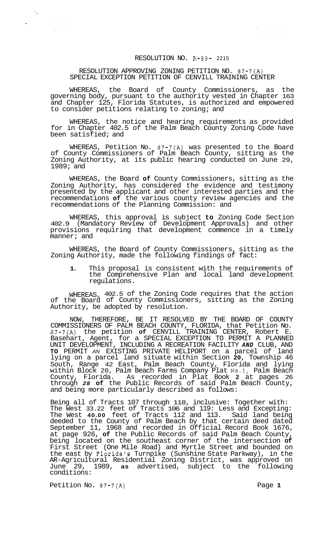## RESOLUTION NO. R-89- 2215

## RESOLUTION APPROVING ZONING PETITION NO. 87-7(A) SPECIAL EXCEPTION PETITION OF CENVILL TRAINING CENTER

WHEREAS, the Board of County Commissioners, as the governing body, pursuant to the authority vested in Chapter 163 and Chapter 125, Florida Statutes, is authorized and empowered to consider petitions relating to zoning; and

WHEREAS, the notice and hearing requirements as provided for in Chapter 402.5 of the Palm Beach County Zoning Code have been satisfied; and

WHEREAS, Petition No. 87-7(A) was presented to the Board of County Commissioners of Palm Beach County, sitting as the Zoning Authority, at its public hearing conducted on June 29, 1989; and

WHEREAS, the Board **of** County Commissioners, sitting as the Zoning Authority, has considered the evidence and testimony presented by the applicant and other interested parties and the recommendations **of** the various county review agencies and the recommendations of the Planning Commission: and

WHEREAS, this approval is subject **to** Zoning Code Section 402.9 (Mandatory Review of Development Approvals) and other provisions requiring that development commence in a timely manner; and

WHEREAS, the Board of County Commissioners, sitting as the Zoning Authority, made the following findings of fact:

**1.** This proposal is consistent with the requirements of the Comprehensive Plan and local land development regulations.

WHEREAS, 402.5 of the Zoning Code requires that the action of the Board of County Commissioners, sitting as the Zoning Authority, be adopted by resolution.

NOW, THEREFORE, BE IT RESOLVED BY THE BOARD OF COUNTY COMMISSIONERS OF PALM BEACH COUNTY, FLORIDA, that Petition No. 87-7(A) the petition **of** CENVILL TRAINING CENTER, Robert E. Basehart, Agent, for a SPECIAL EXCEPTION TO PERMIT A PLANNED UNIT DEVELOPMENT, INCLUDING A RECREATION FACILITY *AND* CLUB, AND **TO** PERMIT *AN* EXISTING PRIVATE HELIPORT on a parcel of land lying on a parcel land situate within Section **20,** Township 46 South, Range 42 East, Palm Beach County, Florida and lying within Block 20, Palm Beach Farms Company Plat No.1, Palm Beach County, Florida. As recorded in Plat Book **2** at pages 26 through *28* **of** the Public Records of said Palm Beach County, and being more particularly described as follows:

Being all of Tracts 107 through 118, inclusive: Together with: The West 33.22 feet of Tracts 106 and 119: Less and Excepting: The West **40.00** feet of Tracts 112 and 113. Said land being deeded to the County of Palm Beach by that certain deed dated September 11, 1968 and recorded in Official Record Book 1676, at page 926, **of** the Public Records of said Palm Beach County, being located on the southeast corner of the intersection **of**  First Street (One Mile Road) and Myrtle Street and bounded on the east by Florida's Turnpike (Sunshine State Parkway), in the AR-Agricultural Residential Zoning District, was approved on June 29, 1989, **as** advertised, subject to the following conditions:

Petition No. 87-7(A) Page 1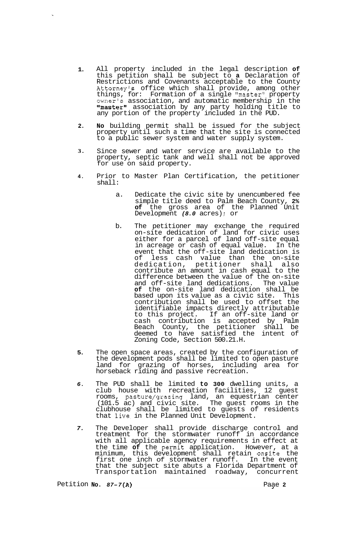- **1.**  All property included in the legal description **of**  this petition shall be subject to **a** Declaration of Restrictions and Covenants acceptable to the County Attorney's office which shall provide, among other things, for: Formation of a single "master" property owner's association, and automatic membership in the "master" association by any party holding title to any portion of the property included in the PUD.
- **2. No** building permit shall be issued for the subject property until such a time that the site is connected to a public sewer system and water supply system.
- **3.**  Since sewer and water service are available to the property, septic tank and well shall not be approved for use on said property.
- **4.**  Prior to Master Plan Certification, the petitioner shall:
	- a. Dedicate the civic site by unencumbered fee simple title deed to Palm Beach County, **2% of** the gross area of the Planned Unit Development *(8.0* acres) ; or
	- b. The petitioner may exchange the required on-site dedication of land for civic uses either for a parcel of land off-site equal in acreage or cash of equal value. In the event that the off-site land dedication is<br>of less cash value than the on-site less cash value than the on-site dedication, petitioner shall also contribute an amount in cash equal to the difference between the value of the on-site and off-site land dedications. The value **of** the on-site land dedication shall be based upon its value as a civic site. This contribution shall be used to offset the identifiable impacts directly attributable to this project. If an off-site land or cash contribution is accepted by Palm Beach County, the petitioner shall be deemed to have satisfied the intent of Zoning Code, Section 500.21.H.
- **5.**  The open space areas, created by the configuration of the development pods shall be limited to open pasture land for grazing of horses, including area for horseback riding and passive recreation.
- *6.*  The PUD shall be limited **to 300** dwelling units, a club house with recreation facilities, 12 guest rooms, pasture/grazing land, an equestrian center (101.5 ac) and civic site. The guest rooms in the clubhouse shall be limited to guests of residents that live. in the Planned Unit Development.
- *7.*  The Developer shall provide discharge control and treatment for the stormwater runoff in accordance with all applicable agency requirements in effect at the time **of** the permit application. However, at a minimum, this development shall retain onsite the first one inch of stormwater runoff. In the event that the subject site abuts a Florida Department of Transportation maintained roadway, concurrent

Petition **NO.** *87-7* **(A)** Paae **2**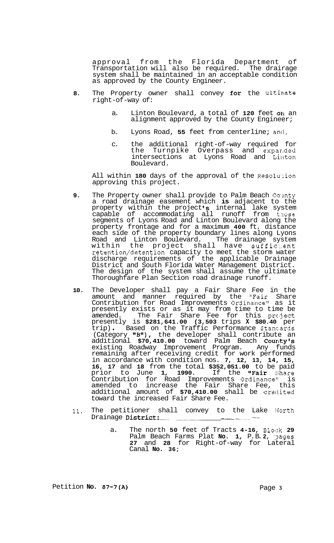approval from the Florida Department of Transportation will also be required. The drairage system shall be maintained in an acceptable condition as approved by the County Engineer.

- **8.** The Property owner shall convey for the ultimate right-of-way of:
	- a. Linton Boulevard, a total of **120** feet **on** an alignment approved by the County Engineer;
	- b. Lyons Road, **55** feet from centerline; ancl,
	- c. the additional right-of-way required for the Turnpike Overpass and expar,ded intersections at Lyons Road and Linton Boulevard.

All within 180 days of the approval of the Resolution approving this project.

- **9.** The Property owner shall provide to Palm Beach County a road drainage easement which **is** adjacent to the property within the project **Is** internal lake system capable of accommodating all runoff from those segments of Lyons Road and Linton Boulevard along the property frontage and for a maximum **400** ft. distance each side of the property boundary lines along Lyons Road and Linton Boulevard. The drainage system within the project shall have suffic:.ent retention/detention capacity to meet the storm water discharge requirements of the applicable Drainage District and South Florida Water Management District. The design of the system shall assume the ultimate Thoroughfare Plan Section road drainage runoff.
- **10.** The Developer shall pay a Fair Share Fee in the amount and manner required by the "Fair Share Contribution for Road Improvements Ordinance" as it presently exists or as it may from time to time be amended. The Fair Share Fee for this project presently is **\$281,641.00 (3,503** trips **X \$80.40** per trip) . Based on the Traffic Performance Stanc-ards (Category "B"), the developer shall contribute an additional **\$70,410.00** toward Palm Beach Courky's existing Roadway Improvement Program. Any funds remaining after receiving credit for work performed in accordance with condition nos. **7, 12, 13, 14, 15, 16, 17** and **18** from the total **\$352,051.00** to be paid prior to June 1, 1990. If the "Fair Share Contribution for Road Improvements Ordinance" is amended to increase the Fair Share Fee, this additional amount of **\$70,410.00** shall be credited toward the increased Fair Share Fee.
- 11. The petitioner shall convey to the Lake Worth Drainage District:
	- a. The north **50** feet of Tracts **4-16,** B1oc:k **29**  Palm Beach Farms Plat **No. 1,** P. B. **2,** :?ages **27** and **28** for Right-of-way for Lateral Canal **No. 36;**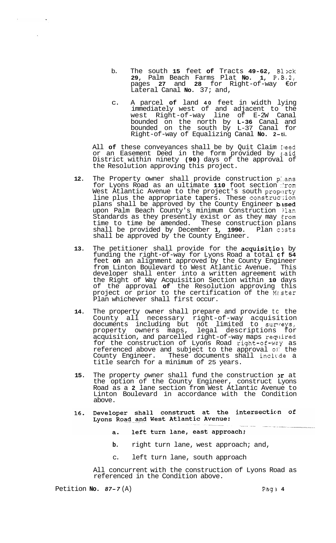- b. The south **15** feet **of** Tracts **49-62,** Blxk **29,** Palm Beach Farms Plat **No. 1, P.B.2,**  pages **27** and **28** for Right-of-way €or Lateral Canal **No.** 37; and,
- c. A parcel **of** land **40** feet in width lying immediately west of and adjacent to the west Right-of-way line of E-2W Canal bounded on the north by **L-36** Canal and bounded on the south by L-37 Canal for Right-of-way of Equalizing Canal **No. 2-ti.**

All of these conveyances shall be by Quit Claim Ieed or an Easement Deed in the form provided by said District within ninety **(90)** days of the approval of the Resolution approving this project.

- **12.** The Property owner shall provide construction p:.ans for Lyons Road as an ultimate 110 foot section from West Atlantic Avenue to the project's south proparty line plus the appropriate tapers. These construction plans shall be approved by the County Engineer based upon Palm Beach County's minimum Construction ?lan Standards as they presently exist or as they may €rom time to time be amended. These construction plans shall be provided by December 1, 1990. Plan costs shall be approved by the County Engineer.
- **13.** The petitioner shall provide for the acquisitio, by funding the right-of-way for Lyons Road a total **cf 54**  feet **on** an alignment approved by the County Engineer from Linton Boulevard to West Atlantic Avenue. This developer shall enter into a written agreement with the Right of Way Acquisition Section within **10** days of the approval **of** the Resolution approving this project or prior to the certification of the Mz.ster Plan whichever shall first occur.
- **14.** The property owner shall prepare and provide tc the County all necessary right-of-way acquisition documents including but not limited to surreys, property owners maps, legal descriptions for acquisition, and parcelled right-of-way maps required for the construction of Lyons Road right-of-wey as referenced above and subject to the approval **oj:** the County Engineer. These documents shall include a title search for a minimum of 25 years.
- 15. The property owner shall fund the construction  $x$  at the option of the County Engineer, construct Lyons Road as a **2** lane section from West Atlantic Avenue to Linton Boulevard in accordance with the Condition above.
- Developer shall construct at the intersection of  $16.$ Lyons Road and West Atlantic Avenue:
	- left turn lane, east approach;  $a.$
	- **b.** right turn lane, west approach; and,
	- c. left turn lane, south approach

All concurrent with the construction of Lyons Road as referenced in the Condition above.

Petition **No. 87-7** (A) Pag 2 4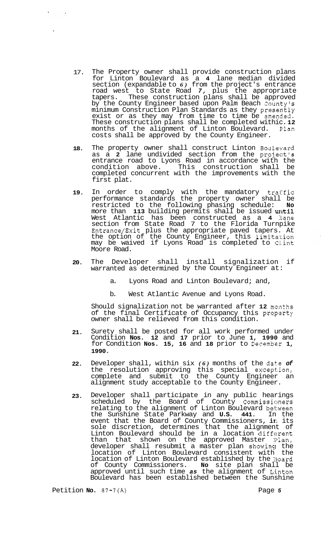- 17. The Property owner shall provide construction plans for Linton Boulevard as a **4** lane median divided section (expandable to *6)* from the project's entrance road west to State Road *7,* plus the appropriate tapers. These construction plans shall be approved by the County Engineer based upon Palm Beach County's minimum Construction Plan Standards as they presently exist or as they may from time to time be amended. These construction plans shall be completed withic. **12**  months of the alignment of Linton Boulevard. F'lan costs shall be approved by the County Engineer.
- **18.**  The property owner shall construct Linton Boulevard as a **2** lane undivided section from the project's entrance road to Lyons Road in accordance with the condition above. This construction shall be completed concurrent with the improvements with the first plat.
- **19.**  In order to comply with the mandatory traffic performance standards the property owner shall be restricted to the following phasing schedule: **No**  more than **113** building permits shall be issued **until** West Atlantic has been constructed as a 4 lane section from State Road 7 to the Florida Turnpike Entrance/Exit plus the appropriate paved tapers. At the option of the County Engineer, this limitation may be waived if Lyons Road is completed to C‼int Moore Road.
- **20.**  The Developer shall install signalization if warranted as determined by the County Engineer at:
	- a. Lyons Road and Linton Boulevard; and,
	- b. West Atlantic Avenue and Lyons Road.

Should signalization not be warranted after **12** mo:nths of the final Certificate of Occupancy this property owner shall be relieved from this condition.

- **21.**  Surety shall be posted for all work performed under Condition **Nos. 12** and **17** prior to June **1, 1990** and for Condition **Nos. 15, 16** and **18** prior to Decembelr **1, 1990.**
- **22.**  Developer shall, within six *(6)* months of the date *of*  the resolution approving this special except:ion, complete and submit to the County Engineer an alignment study acceptable to the County Engineer.
- **23.**  Developer shall participate in any public hearings scheduled by the Board of County Commissioners relating to the alignment of Linton Boulevard bel:.ween the Sunshine State Parkway and **U.S. 441.** In the event that the Board of County Commissioners, in its sole discretion, determines that the alignment of Linton Boulevard should be in a location different than that shown on the approved Master Plan, developer shall resubmit a master plan showing the location of Linton Boulevard consistent with the location of Linton Boulevard established by the Board of County Commissioners. **No** site plan shall be approved until such time *as* the alignment of Linton Boulevard has been established between the Sunshine

Petition **No.** 87-7(A) Petition **No.** 87-7(A)